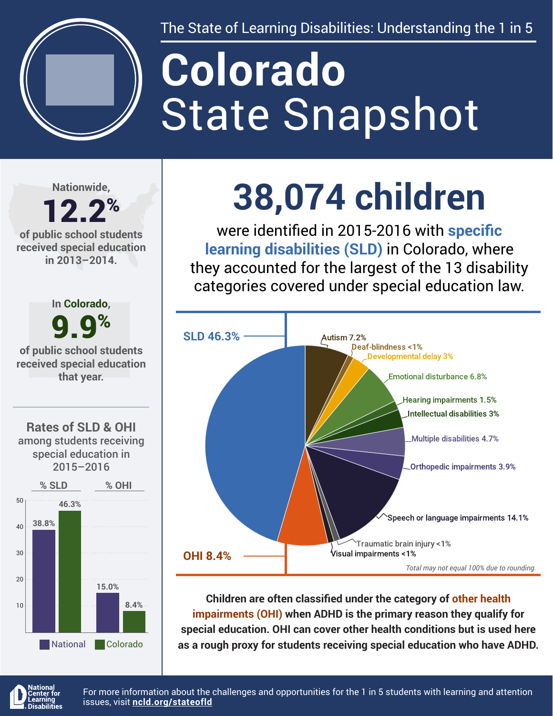

The State of Learning Disabilities: Understanding the 1 in 5

# State Snapshot **Colorado**

**Nationwide,**

### 12.2% **of public school students**

**received special education in 2013–2014.**



## **38,074 children**

were identified in 2015-2016 with **specific learning disabilities (SLD)** in Colorado, where they accounted for the largest of the 13 disability categories covered under special education law.



**Children are often classified under the category of other health impairments (OHI) when ADHD is the primary reason they qualify for special education. OHI can cover other health conditions but is used here as a rough proxy for students receiving special education who have ADHD.**



For more information about the challenges and opportunities for the 1 in 5 students with learning and attention issues, visit **[ncld.org/stateofld](http://ncld.org/stateofld)**